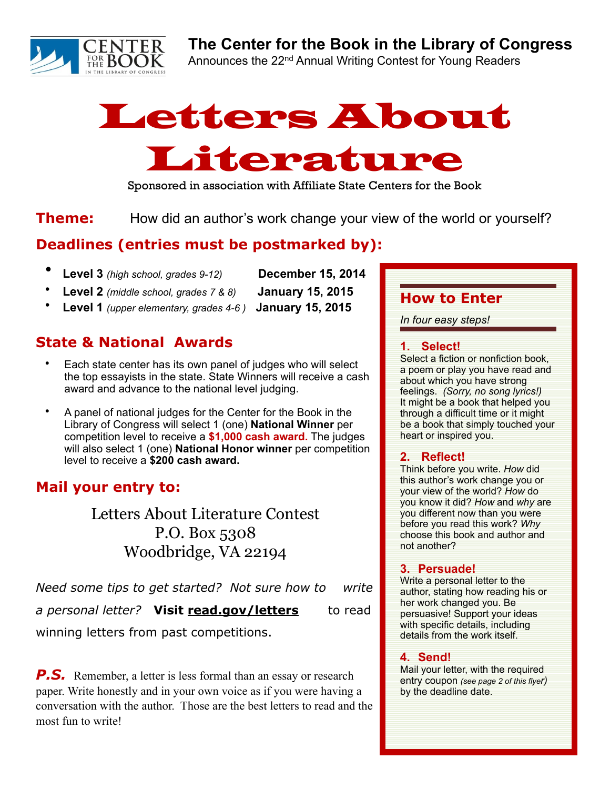

## **The Center for the Book in the Library of Congress**

Announces the 22<sup>nd</sup> Annual Writing Contest for Young Readers

# Letters About Literature

Sponsored in association with Affiliate State Centers for the Book

**Theme:** How did an author's work change your view of the world or yourself?

## **Deadlines (entries must be postmarked by):**

- **Level 3** *(high school, grades 9-12)* **December 15, 2014** 
	-
- **Level 2** *(middle school, grades 7 & 8)* **January 15, 2015** 
	- **Level 1** *(upper elementary, grades 4-6 )* **January 15, 2015**

## **State & National Awards**

- Each state center has its own panel of judges who will select the top essayists in the state. State Winners will receive a cash award and advance to the national level judging.
- A panel of national judges for the Center for the Book in the Library of Congress will select 1 (one) **National Winner** per competition level to receive a **\$1,000 cash award.** The judges will also select 1 (one) **National Honor winner** per competition level to receive a **\$200 cash award.**

## **Mail your entry to:**

Letters About Literature Contest P.O. Box 5308 Woodbridge, VA 22194

*Need some tips to get started? Not sure how to write* 

a personal letter? Visit read.gov/letters to read

winning letters from past competitions.

**P.S.** Remember, a letter is less formal than an essay or research paper. Write honestly and in your own voice as if you were having a conversation with the author. Those are the best letters to read and the most fun to write!

## **How to Enter**

*In four easy steps!*

#### **1. Select!**

Select a fiction or nonfiction book, a poem or play you have read and about which you have strong feelings. *(Sorry, no song lyrics!)* It might be a book that helped you through a difficult time or it might be a book that simply touched your heart or inspired you.

### **2. Reflect!**

Think before you write. *How* did this author's work change you or your view of the world? *How* do you know it did? *How* and *why* are you different now than you were before you read this work? *Why*  choose this book and author and not another?

### **3. Persuade!**

Write a personal letter to the author, stating how reading his or her work changed you. Be persuasive! Support your ideas with specific details, including details from the work itself.

### **4. Send!**

Mail your letter, with the required entry coupon *(see page 2 of this flyer)* by the deadline date.